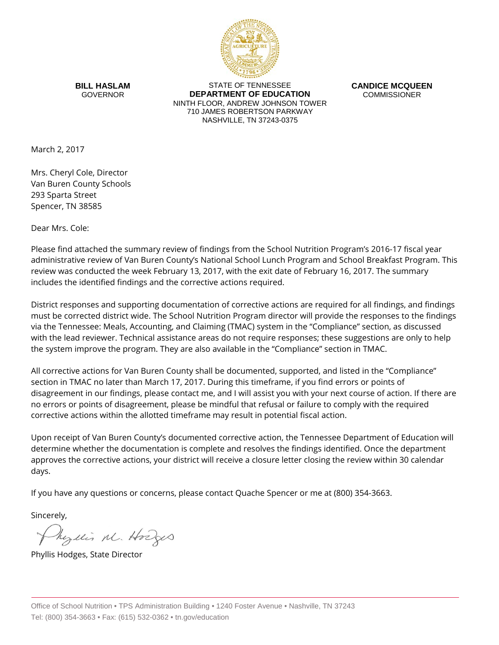

**BILL HASLAM** GOVERNOR

STATE OF TENNESSEE **DEPARTMENT OF EDUCATION** NINTH FLOOR, ANDREW JOHNSON TOWER 710 JAMES ROBERTSON PARKWAY NASHVILLE, TN 37243-0375

**CANDICE MCQUEEN** COMMISSIONER

March 2, 2017

Mrs. Cheryl Cole, Director Van Buren County Schools 293 Sparta Street Spencer, TN 38585

Dear Mrs. Cole:

Please find attached the summary review of findings from the School Nutrition Program's 2016-17 fiscal year administrative review of Van Buren County's National School Lunch Program and School Breakfast Program. This review was conducted the week February 13, 2017, with the exit date of February 16, 2017. The summary includes the identified findings and the corrective actions required.

District responses and supporting documentation of corrective actions are required for all findings, and findings must be corrected district wide. The School Nutrition Program director will provide the responses to the findings via the Tennessee: Meals, Accounting, and Claiming (TMAC) system in the "Compliance" section, as discussed with the lead reviewer. Technical assistance areas do not require responses; these suggestions are only to help the system improve the program. They are also available in the "Compliance" section in TMAC.

All corrective actions for Van Buren County shall be documented, supported, and listed in the "Compliance" section in TMAC no later than March 17, 2017. During this timeframe, if you find errors or points of disagreement in our findings, please contact me, and I will assist you with your next course of action. If there are no errors or points of disagreement, please be mindful that refusal or failure to comply with the required corrective actions within the allotted timeframe may result in potential fiscal action.

Upon receipt of Van Buren County's documented corrective action, the Tennessee Department of Education will determine whether the documentation is complete and resolves the findings identified. Once the department approves the corrective actions, your district will receive a closure letter closing the review within 30 calendar days.

If you have any questions or concerns, please contact Quache Spencer or me at (800) 354-3663.

Sincerely,

Myllis M. Hodges

Phyllis Hodges, State Director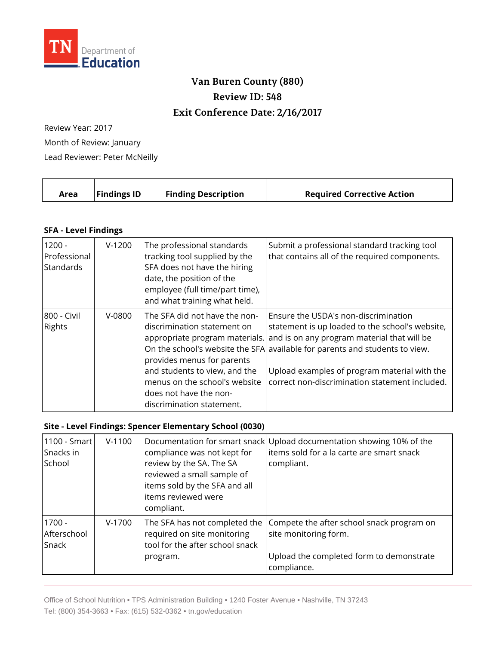

## **Van Buren County (880) Review ID: 548 Exit Conference Date: 2/16/2017**

Review Year: 2017 Month of Review: January Lead Reviewer: Peter McNeilly

| Area | <b>Findings ID</b> | <b>Finding Description</b> | <b>Required Corrective Action</b> |
|------|--------------------|----------------------------|-----------------------------------|
|      |                    |                            |                                   |

## **SFA - Level Findings**

| $1200 -$<br>Professional<br>Standards | $V-1200$ | The professional standards<br>tracking tool supplied by the<br>SFA does not have the hiring<br>date, the position of the<br>employee (full time/part time),<br>and what training what held.                         | Submit a professional standard tracking tool<br>that contains all of the required components.                                                                                                                                                                                                                                                          |
|---------------------------------------|----------|---------------------------------------------------------------------------------------------------------------------------------------------------------------------------------------------------------------------|--------------------------------------------------------------------------------------------------------------------------------------------------------------------------------------------------------------------------------------------------------------------------------------------------------------------------------------------------------|
| 800 - Civil<br><b>Rights</b>          | $V-0800$ | The SFA did not have the non-<br>discrimination statement on<br>provides menus for parents<br>and students to view, and the<br>menus on the school's website<br>does not have the non-<br>discrimination statement. | Ensure the USDA's non-discrimination<br>statement is up loaded to the school's website,<br>appropriate program materials. and is on any program material that will be<br>On the school's website the SFA available for parents and students to view.<br>Upload examples of program material with the<br>correct non-discrimination statement included. |

## **Site - Level Findings: Spencer Elementary School (0030)**

| 1100 - Smart<br>Snacks in<br>School | $V-1100$ | compliance was not kept for<br>review by the SA. The SA<br>reviewed a small sample of<br>items sold by the SFA and all<br>items reviewed were<br>compliant. | Documentation for smart snack Upload documentation showing 10% of the<br>items sold for a la carte are smart snack<br>compliant. |
|-------------------------------------|----------|-------------------------------------------------------------------------------------------------------------------------------------------------------------|----------------------------------------------------------------------------------------------------------------------------------|
| $1700 -$<br>Afterschool<br>Snack    | $V-1700$ | The SFA has not completed the<br>required on site monitoring<br>tool for the after school snack<br>program.                                                 | Compete the after school snack program on<br>site monitoring form.<br>Upload the completed form to demonstrate<br>compliance.    |